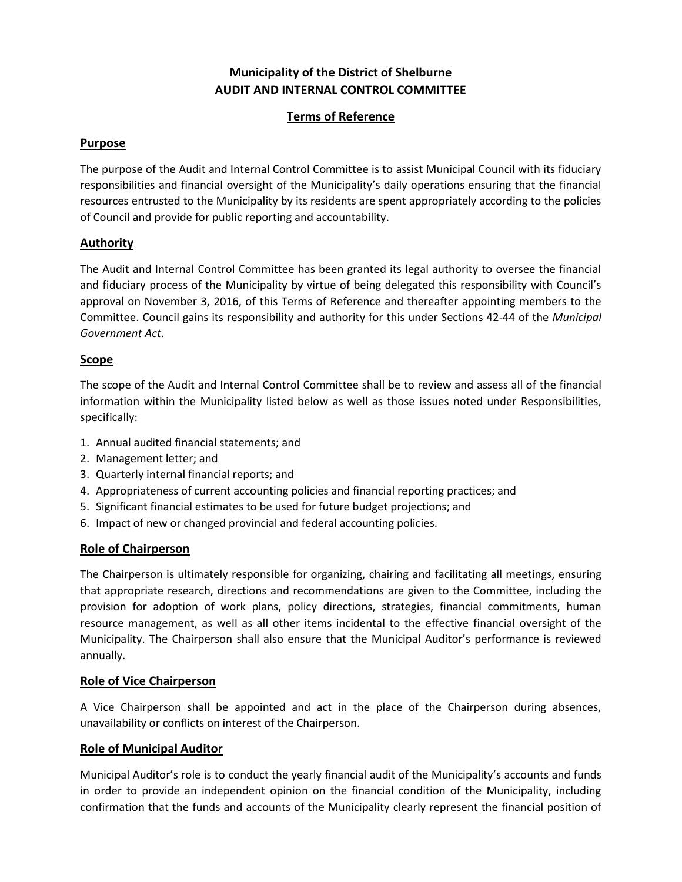# **Municipality of the District of Shelburne AUDIT AND INTERNAL CONTROL COMMITTEE**

# **Terms of Reference**

# **Purpose**

The purpose of the Audit and Internal Control Committee is to assist Municipal Council with its fiduciary responsibilities and financial oversight of the Municipality's daily operations ensuring that the financial resources entrusted to the Municipality by its residents are spent appropriately according to the policies of Council and provide for public reporting and accountability.

# **Authority**

The Audit and Internal Control Committee has been granted its legal authority to oversee the financial and fiduciary process of the Municipality by virtue of being delegated this responsibility with Council's approval on November 3, 2016, of this Terms of Reference and thereafter appointing members to the Committee. Council gains its responsibility and authority for this under Sections 42-44 of the *Municipal Government Act*.

# **Scope**

The scope of the Audit and Internal Control Committee shall be to review and assess all of the financial information within the Municipality listed below as well as those issues noted under Responsibilities, specifically:

- 1. Annual audited financial statements; and
- 2. Management letter; and
- 3. Quarterly internal financial reports; and
- 4. Appropriateness of current accounting policies and financial reporting practices; and
- 5. Significant financial estimates to be used for future budget projections; and
- 6. Impact of new or changed provincial and federal accounting policies.

# **Role of Chairperson**

The Chairperson is ultimately responsible for organizing, chairing and facilitating all meetings, ensuring that appropriate research, directions and recommendations are given to the Committee, including the provision for adoption of work plans, policy directions, strategies, financial commitments, human resource management, as well as all other items incidental to the effective financial oversight of the Municipality. The Chairperson shall also ensure that the Municipal Auditor's performance is reviewed annually.

#### **Role of Vice Chairperson**

A Vice Chairperson shall be appointed and act in the place of the Chairperson during absences, unavailability or conflicts on interest of the Chairperson.

#### **Role of Municipal Auditor**

Municipal Auditor's role is to conduct the yearly financial audit of the Municipality's accounts and funds in order to provide an independent opinion on the financial condition of the Municipality, including confirmation that the funds and accounts of the Municipality clearly represent the financial position of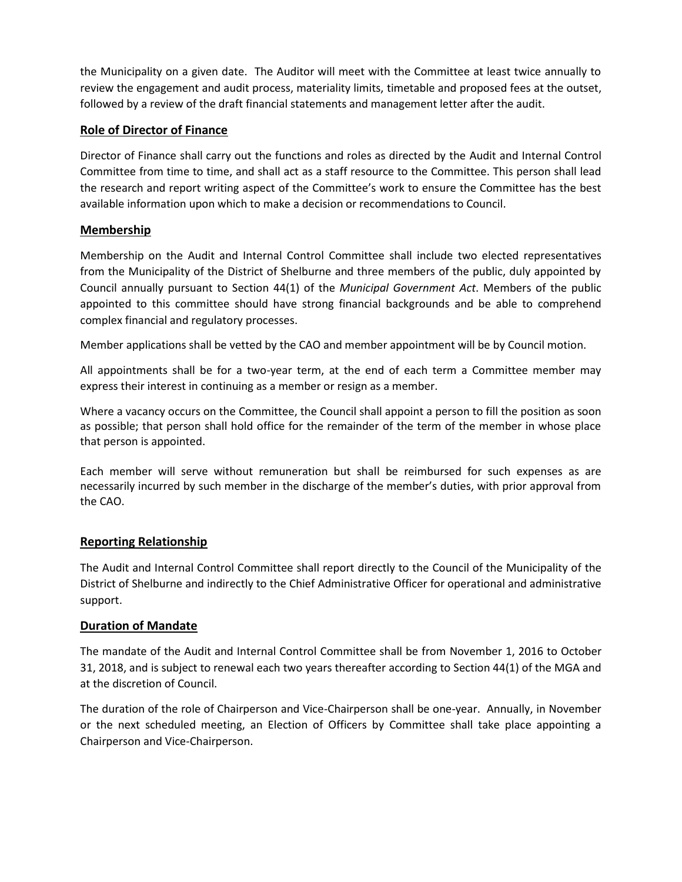the Municipality on a given date. The Auditor will meet with the Committee at least twice annually to review the engagement and audit process, materiality limits, timetable and proposed fees at the outset, followed by a review of the draft financial statements and management letter after the audit.

# **Role of Director of Finance**

Director of Finance shall carry out the functions and roles as directed by the Audit and Internal Control Committee from time to time, and shall act as a staff resource to the Committee. This person shall lead the research and report writing aspect of the Committee's work to ensure the Committee has the best available information upon which to make a decision or recommendations to Council.

# **Membership**

Membership on the Audit and Internal Control Committee shall include two elected representatives from the Municipality of the District of Shelburne and three members of the public, duly appointed by Council annually pursuant to Section 44(1) of the *Municipal Government Act*. Members of the public appointed to this committee should have strong financial backgrounds and be able to comprehend complex financial and regulatory processes.

Member applications shall be vetted by the CAO and member appointment will be by Council motion.

All appointments shall be for a two-year term, at the end of each term a Committee member may express their interest in continuing as a member or resign as a member.

Where a vacancy occurs on the Committee, the Council shall appoint a person to fill the position as soon as possible; that person shall hold office for the remainder of the term of the member in whose place that person is appointed.

Each member will serve without remuneration but shall be reimbursed for such expenses as are necessarily incurred by such member in the discharge of the member's duties, with prior approval from the CAO.

#### **Reporting Relationship**

The Audit and Internal Control Committee shall report directly to the Council of the Municipality of the District of Shelburne and indirectly to the Chief Administrative Officer for operational and administrative support.

#### **Duration of Mandate**

The mandate of the Audit and Internal Control Committee shall be from November 1, 2016 to October 31, 2018, and is subject to renewal each two years thereafter according to Section 44(1) of the MGA and at the discretion of Council.

The duration of the role of Chairperson and Vice-Chairperson shall be one-year. Annually, in November or the next scheduled meeting, an Election of Officers by Committee shall take place appointing a Chairperson and Vice-Chairperson.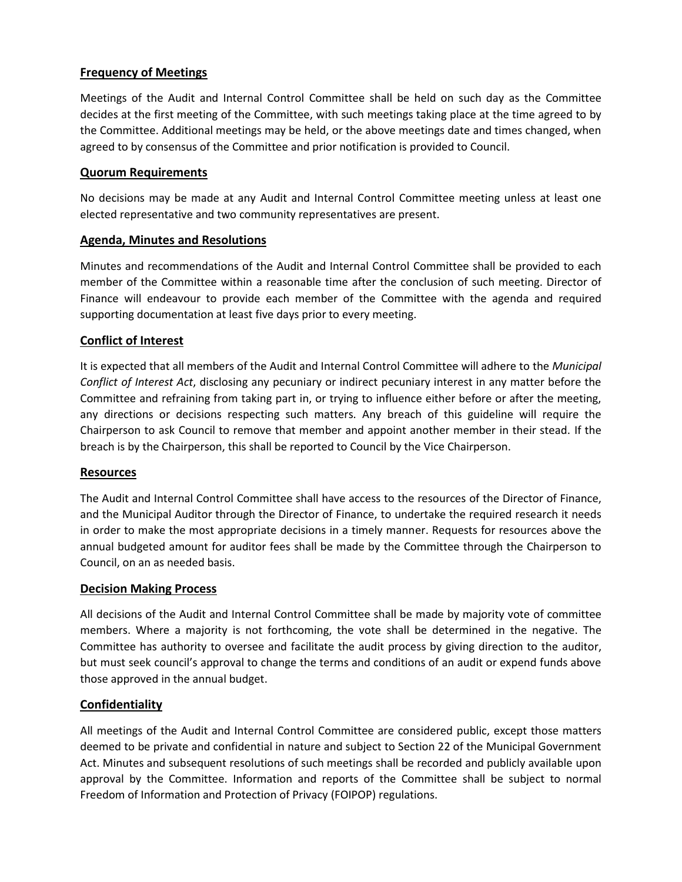# **Frequency of Meetings**

Meetings of the Audit and Internal Control Committee shall be held on such day as the Committee decides at the first meeting of the Committee, with such meetings taking place at the time agreed to by the Committee. Additional meetings may be held, or the above meetings date and times changed, when agreed to by consensus of the Committee and prior notification is provided to Council.

# **Quorum Requirements**

No decisions may be made at any Audit and Internal Control Committee meeting unless at least one elected representative and two community representatives are present.

# **Agenda, Minutes and Resolutions**

Minutes and recommendations of the Audit and Internal Control Committee shall be provided to each member of the Committee within a reasonable time after the conclusion of such meeting. Director of Finance will endeavour to provide each member of the Committee with the agenda and required supporting documentation at least five days prior to every meeting.

# **Conflict of Interest**

It is expected that all members of the Audit and Internal Control Committee will adhere to the *Municipal Conflict of Interest Act*, disclosing any pecuniary or indirect pecuniary interest in any matter before the Committee and refraining from taking part in, or trying to influence either before or after the meeting, any directions or decisions respecting such matters. Any breach of this guideline will require the Chairperson to ask Council to remove that member and appoint another member in their stead. If the breach is by the Chairperson, this shall be reported to Council by the Vice Chairperson.

#### **Resources**

The Audit and Internal Control Committee shall have access to the resources of the Director of Finance, and the Municipal Auditor through the Director of Finance, to undertake the required research it needs in order to make the most appropriate decisions in a timely manner. Requests for resources above the annual budgeted amount for auditor fees shall be made by the Committee through the Chairperson to Council, on an as needed basis.

#### **Decision Making Process**

All decisions of the Audit and Internal Control Committee shall be made by majority vote of committee members. Where a majority is not forthcoming, the vote shall be determined in the negative. The Committee has authority to oversee and facilitate the audit process by giving direction to the auditor, but must seek council's approval to change the terms and conditions of an audit or expend funds above those approved in the annual budget.

#### **Confidentiality**

All meetings of the Audit and Internal Control Committee are considered public, except those matters deemed to be private and confidential in nature and subject to Section 22 of the Municipal Government Act. Minutes and subsequent resolutions of such meetings shall be recorded and publicly available upon approval by the Committee. Information and reports of the Committee shall be subject to normal Freedom of Information and Protection of Privacy (FOIPOP) regulations.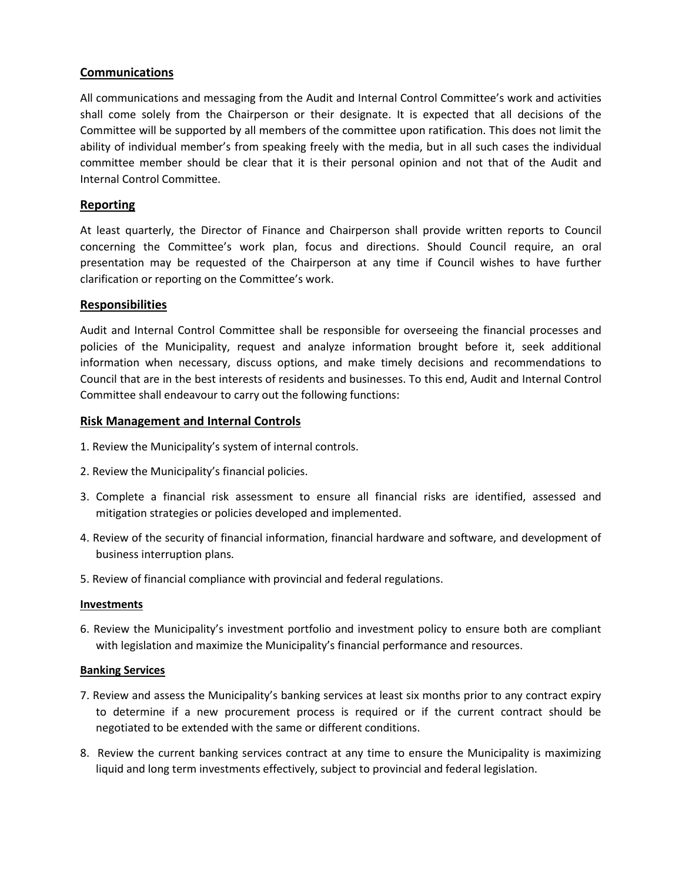# **Communications**

All communications and messaging from the Audit and Internal Control Committee's work and activities shall come solely from the Chairperson or their designate. It is expected that all decisions of the Committee will be supported by all members of the committee upon ratification. This does not limit the ability of individual member's from speaking freely with the media, but in all such cases the individual committee member should be clear that it is their personal opinion and not that of the Audit and Internal Control Committee.

# **Reporting**

At least quarterly, the Director of Finance and Chairperson shall provide written reports to Council concerning the Committee's work plan, focus and directions. Should Council require, an oral presentation may be requested of the Chairperson at any time if Council wishes to have further clarification or reporting on the Committee's work.

#### **Responsibilities**

Audit and Internal Control Committee shall be responsible for overseeing the financial processes and policies of the Municipality, request and analyze information brought before it, seek additional information when necessary, discuss options, and make timely decisions and recommendations to Council that are in the best interests of residents and businesses. To this end, Audit and Internal Control Committee shall endeavour to carry out the following functions:

#### **Risk Management and Internal Controls**

- 1. Review the Municipality's system of internal controls.
- 2. Review the Municipality's financial policies.
- 3. Complete a financial risk assessment to ensure all financial risks are identified, assessed and mitigation strategies or policies developed and implemented.
- 4. Review of the security of financial information, financial hardware and software, and development of business interruption plans.
- 5. Review of financial compliance with provincial and federal regulations.

#### **Investments**

6. Review the Municipality's investment portfolio and investment policy to ensure both are compliant with legislation and maximize the Municipality's financial performance and resources.

#### **Banking Services**

- 7. Review and assess the Municipality's banking services at least six months prior to any contract expiry to determine if a new procurement process is required or if the current contract should be negotiated to be extended with the same or different conditions.
- 8. Review the current banking services contract at any time to ensure the Municipality is maximizing liquid and long term investments effectively, subject to provincial and federal legislation.